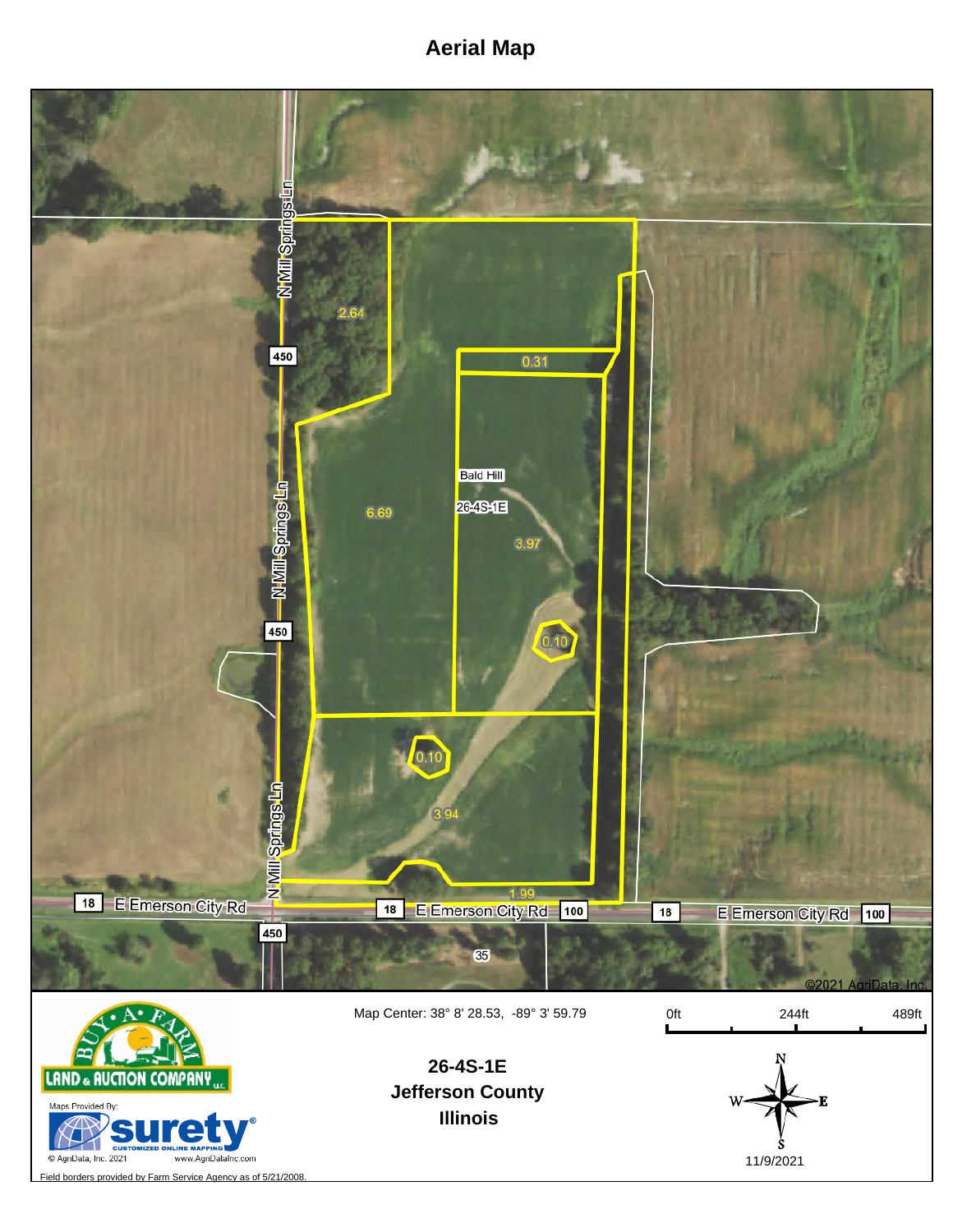## **Aerial Map**



Field borders provided by Farm Service Agency as of 5/21/2008.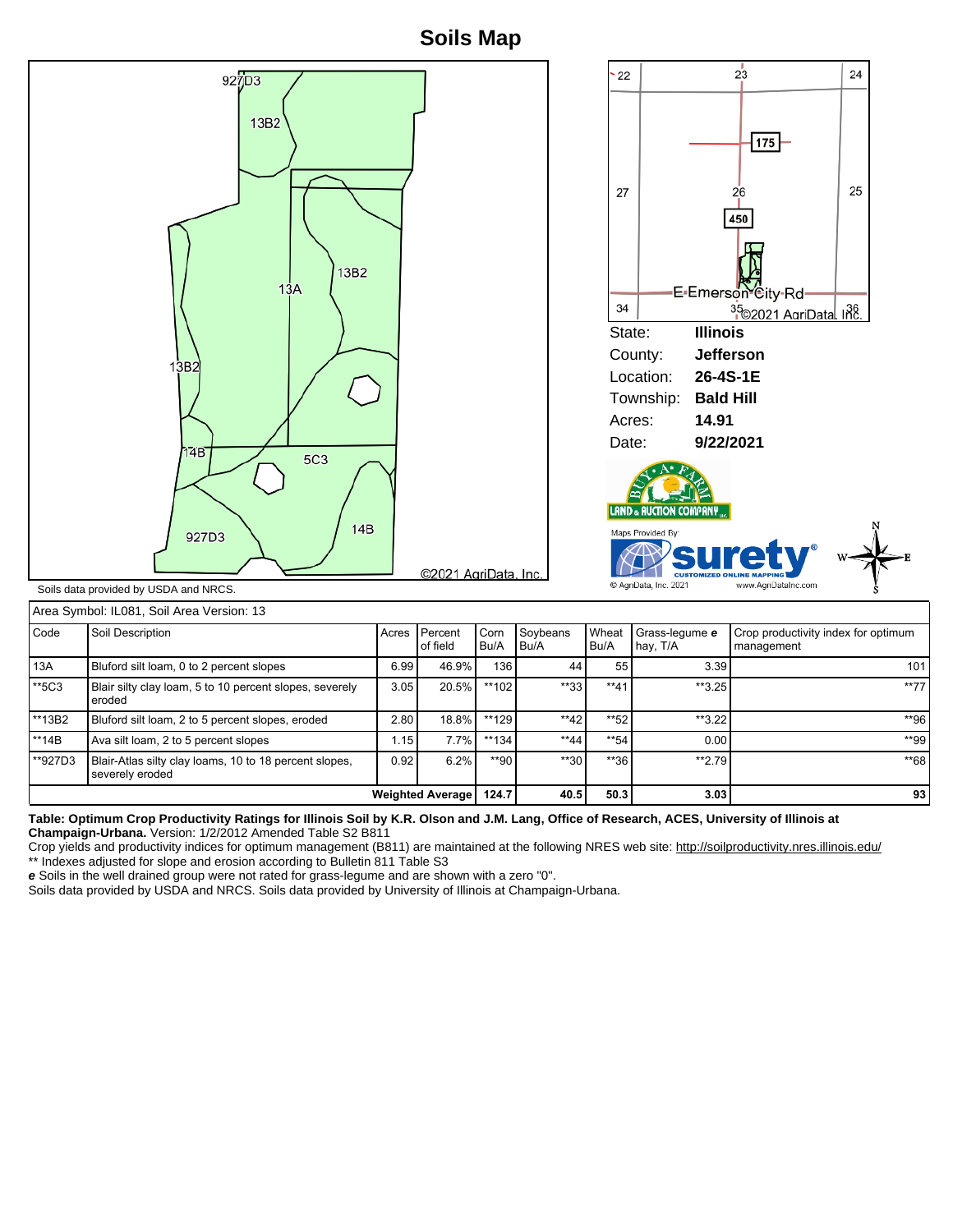**Soils Map**



| Area Symbol: IL081, Soil Area Version: 13 |                  |  |  |  |  |
|-------------------------------------------|------------------|--|--|--|--|
| Code                                      | Soil Description |  |  |  |  |

| l Code             | Soil Description                                                          | Acres               | l Percent<br>of field | Corn<br>Bu/A | Soybeans<br>Bu/A | Wheat<br>Bu/A | Grass-legume e<br>hay, T/A | Crop productivity index for optimum<br>management |
|--------------------|---------------------------------------------------------------------------|---------------------|-----------------------|--------------|------------------|---------------|----------------------------|---------------------------------------------------|
| 13A                | Bluford silt loam, 0 to 2 percent slopes                                  |                     | 46.9%                 | 136          | 44               | 55            | 3.39                       | 101                                               |
| $**$ 5C3           | Blair silty clay loam, 5 to 10 percent slopes, severely<br>eroded         |                     | 20.5%<br>3.05         | **102        | $**33.$          | $**41$        | $*3.25$                    | $**77$                                            |
| <sup>**</sup> 13B2 | Bluford silt loam, 2 to 5 percent slopes, eroded                          | 2.80                | $18.8\%$              | $**129$      | $**42$           | $*$ 52        | $**3.22$                   | **96                                              |
| <sup>**</sup> 14B  | Ava silt loam, 2 to 5 percent slopes                                      | $1.15$ <sup>1</sup> | 7.7%                  | $**134$      | $**44$           | $*$ 54        | 0.00                       | **99                                              |
| **927D3            | Blair-Atlas silty clay loams, 10 to 18 percent slopes,<br>severely eroded | 0.92                | $6.2\%$               | $*$ 90       | $**30$           | $*36$         | $**2.79$                   | **68                                              |
|                    | <b>Weighted Average  </b>                                                 | 124.7               | 40.5                  | 50.3         | 3.03             | 93            |                            |                                                   |

**Table: Optimum Crop Productivity Ratings for Illinois Soil by K.R. Olson and J.M. Lang, Office of Research, ACES, University of Illinois at Champaign-Urbana.** Version: 1/2/2012 Amended Table S2 B811

Crop yields and productivity indices for optimum management (B811) are maintained at the following NRES web site: http://soilproductivity.nres.illinois.edu/ \*\* Indexes adjusted for slope and erosion according to Bulletin 811 Table S3

**e** Soils in the well drained group were not rated for grass-legume and are shown with a zero "0".

Soils data provided by USDA and NRCS. Soils data provided by University of Illinois at Champaign-Urbana.